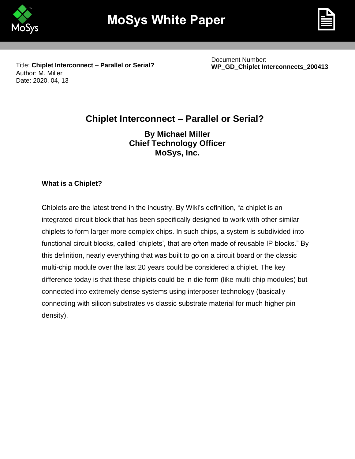



Title: **Chiplet Interconnect – Parallel or Serial?**  Author: M. Miller Date: 2020, 04, 13

Document Number: **WP\_GD\_Chiplet Interconnects\_200413**

# **Chiplet Interconnect – Parallel or Serial?**

**By Michael Miller Chief Technology Officer MoSys, Inc.** 

## **What is a Chiplet?**

Chiplets are the latest trend in the industry. By Wiki's definition, "a chiplet is an integrated circuit block that has been specifically designed to work with other similar chiplets to form larger more complex chips. In such chips, a system is subdivided into functional circuit blocks, called 'chiplets', that are often made of reusable IP blocks." By this definition, nearly everything that was built to go on a circuit board or the classic multi-chip module over the last 20 years could be considered a chiplet. The key difference today is that these chiplets could be in die form (like multi-chip modules) but connected into extremely dense systems using interposer technology (basically connecting with silicon substrates vs classic substrate material for much higher pin density).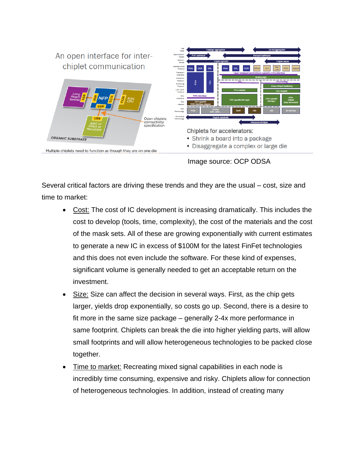

Image source: OCP ODSA

Several critical factors are driving these trends and they are the usual – cost, size and time to market:

- Cost: The cost of IC development is increasing dramatically. This includes the cost to develop (tools, time, complexity), the cost of the materials and the cost of the mask sets. All of these are growing exponentially with current estimates to generate a new IC in excess of \$100M for the latest FinFet technologies and this does not even include the software. For these kind of expenses, significant volume is generally needed to get an acceptable return on the investment.
- Size: Size can affect the decision in several ways. First, as the chip gets larger, yields drop exponentially, so costs go up. Second, there is a desire to fit more in the same size package – generally 2-4x more performance in same footprint. Chiplets can break the die into higher yielding parts, will allow small footprints and will allow heterogeneous technologies to be packed close together.
- Time to market: Recreating mixed signal capabilities in each node is incredibly time consuming, expensive and risky. Chiplets allow for connection of heterogeneous technologies. In addition, instead of creating many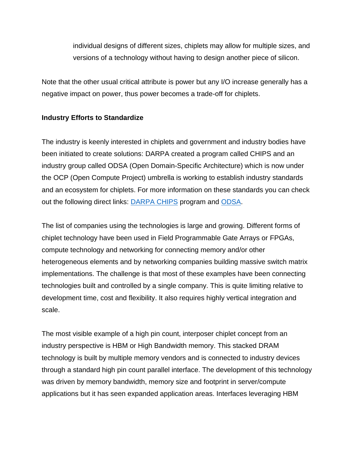individual designs of different sizes, chiplets may allow for multiple sizes, and versions of a technology without having to design another piece of silicon.

Note that the other usual critical attribute is power but any I/O increase generally has a negative impact on power, thus power becomes a trade-off for chiplets.

## **Industry Efforts to Standardize**

The industry is keenly interested in chiplets and government and industry bodies have been initiated to create solutions: DARPA created a program called CHIPS and an industry group called ODSA (Open Domain-Specific Architecture) which is now under the OCP (Open Compute Project) umbrella is working to establish industry standards and an ecosystem for chiplets. For more information on these standards you can check out the following direct links: [DARPA CHIPS](https://www.darpa.mil/program/common-heterogeneous-integration-and-ip-reuse-strategies) program and [ODSA.](https://www.opencompute.org/wiki/Server/ODSA#Project_Leadership)

The list of companies using the technologies is large and growing. Different forms of chiplet technology have been used in Field Programmable Gate Arrays or FPGAs, compute technology and networking for connecting memory and/or other heterogeneous elements and by networking companies building massive switch matrix implementations. The challenge is that most of these examples have been connecting technologies built and controlled by a single company. This is quite limiting relative to development time, cost and flexibility. It also requires highly vertical integration and scale.

The most visible example of a high pin count, interposer chiplet concept from an industry perspective is HBM or High Bandwidth memory. This stacked DRAM technology is built by multiple memory vendors and is connected to industry devices through a standard high pin count parallel interface. The development of this technology was driven by memory bandwidth, memory size and footprint in server/compute applications but it has seen expanded application areas. Interfaces leveraging HBM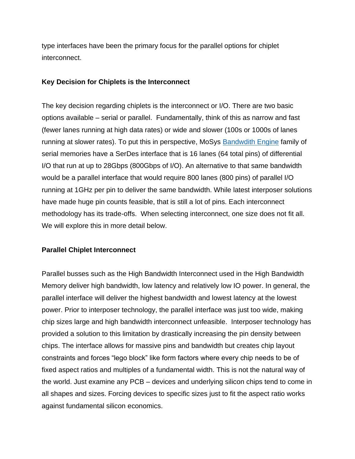type interfaces have been the primary focus for the parallel options for chiplet interconnect.

## **Key Decision for Chiplets is the Interconnect**

The key decision regarding chiplets is the interconnect or I/O. There are two basic options available – serial or parallel. Fundamentally, think of this as narrow and fast (fewer lanes running at high data rates) or wide and slower (100s or 1000s of lanes running at slower rates). To put this in perspective, MoSys **Bandwdith Engine** family of serial memories have a SerDes interface that is 16 lanes (64 total pins) of differential I/O that run at up to 28Gbps (800Gbps of I/O). An alternative to that same bandwidth would be a parallel interface that would require 800 lanes (800 pins) of parallel I/O running at 1GHz per pin to deliver the same bandwidth. While latest interposer solutions have made huge pin counts feasible, that is still a lot of pins. Each interconnect methodology has its trade-offs. When selecting interconnect, one size does not fit all. We will explore this in more detail below.

## **Parallel Chiplet Interconnect**

Parallel busses such as the High Bandwidth Interconnect used in the High Bandwidth Memory deliver high bandwidth, low latency and relatively low IO power. In general, the parallel interface will deliver the highest bandwidth and lowest latency at the lowest power. Prior to interposer technology, the parallel interface was just too wide, making chip sizes large and high bandwidth interconnect unfeasible. Interposer technology has provided a solution to this limitation by drastically increasing the pin density between chips. The interface allows for massive pins and bandwidth but creates chip layout constraints and forces "lego block" like form factors where every chip needs to be of fixed aspect ratios and multiples of a fundamental width. This is not the natural way of the world. Just examine any PCB – devices and underlying silicon chips tend to come in all shapes and sizes. Forcing devices to specific sizes just to fit the aspect ratio works against fundamental silicon economics.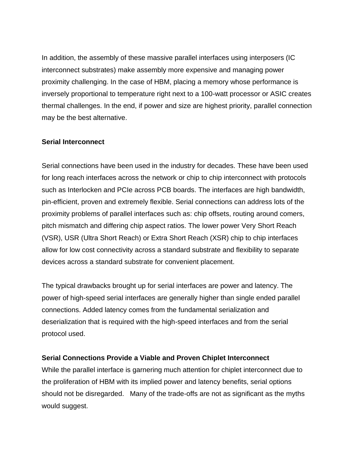In addition, the assembly of these massive parallel interfaces using interposers (IC interconnect substrates) make assembly more expensive and managing power proximity challenging. In the case of HBM, placing a memory whose performance is inversely proportional to temperature right next to a 100-watt processor or ASIC creates thermal challenges. In the end, if power and size are highest priority, parallel connection may be the best alternative.

## **Serial Interconnect**

Serial connections have been used in the industry for decades. These have been used for long reach interfaces across the network or chip to chip interconnect with protocols such as Interlocken and PCIe across PCB boards. The interfaces are high bandwidth, pin-efficient, proven and extremely flexible. Serial connections can address lots of the proximity problems of parallel interfaces such as: chip offsets, routing around comers, pitch mismatch and differing chip aspect ratios. The lower power Very Short Reach (VSR), USR (Ultra Short Reach) or Extra Short Reach (XSR) chip to chip interfaces allow for low cost connectivity across a standard substrate and flexibility to separate devices across a standard substrate for convenient placement.

The typical drawbacks brought up for serial interfaces are power and latency. The power of high-speed serial interfaces are generally higher than single ended parallel connections. Added latency comes from the fundamental serialization and deserialization that is required with the high-speed interfaces and from the serial protocol used.

## **Serial Connections Provide a Viable and Proven Chiplet Interconnect**

While the parallel interface is garnering much attention for chiplet interconnect due to the proliferation of HBM with its implied power and latency benefits, serial options should not be disregarded. Many of the trade-offs are not as significant as the myths would suggest.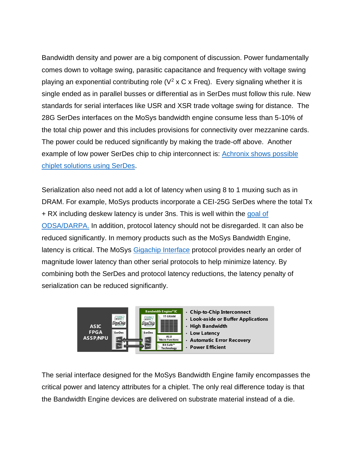Bandwidth density and power are a big component of discussion. Power fundamentally comes down to voltage swing, parasitic capacitance and frequency with voltage swing playing an exponential contributing role ( $V^2$  x C x Freq). Every signaling whether it is single ended as in parallel busses or differential as in SerDes must follow this rule. New standards for serial interfaces like USR and XSR trade voltage swing for distance. The 28G SerDes interfaces on the MoSys bandwidth engine consume less than 5-10% of the total chip power and this includes provisions for connectivity over mezzanine cards. The power could be reduced significantly by making the trade-off above. Another example of low power SerDes chip to chip interconnect is: [Achronix shows possible](https://www.achronix.com/product/speedchip/)  [chiplet solutions using SerDes.](https://www.achronix.com/product/speedchip/)

Serialization also need not add a lot of latency when using 8 to 1 muxing such as in DRAM. For example, MoSys products incorporate a CEI-25G SerDes where the total Tx + RX including deskew latency is under 3ns. This is well within the goal of [ODSA/DARPA.](https://www.techdesignforums.com/wp-content/uploads/2019/04/odsa-darpa-fom-950x907.png) In addition, protocol latency should not be disregarded. It can also be reduced significantly. In memory products such as the MoSys Bandwidth Engine, latency is critical. The MoSys [Gigachip Interface](https://mosys.com/technology/gigachip-interface/) protocol provides nearly an order of magnitude lower latency than other serial protocols to help minimize latency. By combining both the SerDes and protocol latency reductions, the latency penalty of serialization can be reduced significantly.



The serial interface designed for the MoSys Bandwidth Engine family encompasses the critical power and latency attributes for a chiplet. The only real difference today is that the Bandwidth Engine devices are delivered on substrate material instead of a die.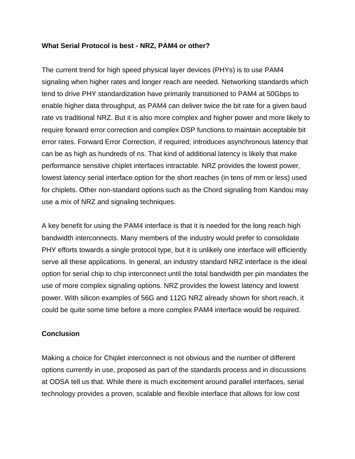#### **What Serial Protocol is best - NRZ, PAM4 or other?**

The current trend for high speed physical layer devices (PHYs) is to use PAM4 signaling when higher rates and longer reach are needed. Networking standards which tend to drive PHY standardization have primarily transitioned to PAM4 at 50Gbps to enable higher data throughput, as PAM4 can deliver twice the bit rate for a given baud rate vs traditional NRZ. But it is also more complex and higher power and more likely to require forward error correction and complex DSP functions to maintain acceptable bit error rates. Forward Error Correction, if required, introduces asynchronous latency that can be as high as hundreds of ns. That kind of additional latency is likely that make performance sensitive chiplet interfaces intractable. NRZ provides the lowest power, lowest latency serial interface option for the short reaches (in tens of mm or less) used for chiplets. Other non-standard options such as the Chord signaling from Kandou may use a mix of NRZ and signaling techniques.

A key benefit for using the PAM4 interface is that it is needed for the long reach high bandwidth interconnects. Many members of the industry would prefer to consolidate PHY efforts towards a single protocol type, but it is unlikely one interface will efficiently serve all these applications. In general, an industry standard NRZ interface is the ideal option for serial chip to chip interconnect until the total bandwidth per pin mandates the use of more complex signaling options. NRZ provides the lowest latency and lowest power. With silicon examples of 56G and 112G NRZ already shown for short reach, it could be quite some time before a more complex PAM4 interface would be required.

## **Conclusion**

Making a choice for Chiplet interconnect is not obvious and the number of different options currently in use, proposed as part of the standards process and in discussions at ODSA tell us that. While there is much excitement around parallel interfaces, serial technology provides a proven, scalable and flexible interface that allows for low cost